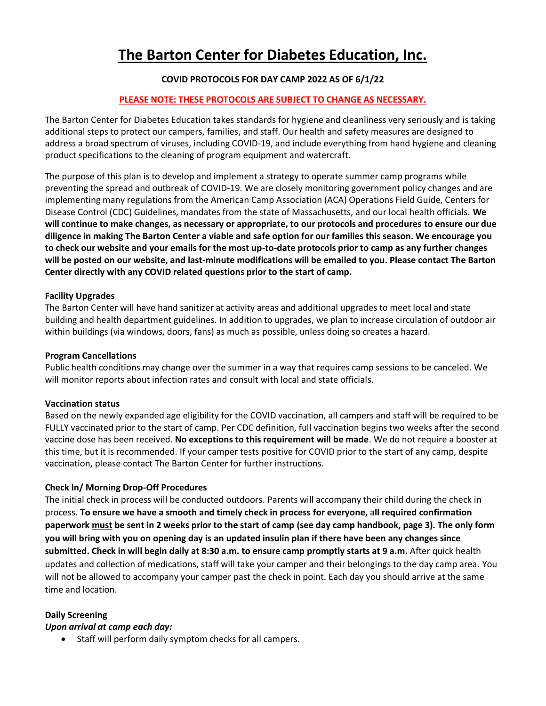# **The Barton Center for Diabetes Education, Inc.**

# **COVID PROTOCOLS FOR DAY CAMP 2022 AS OF 6/1/22**

## **PLEASE NOTE: THESE PROTOCOLS ARE SUBJECT TO CHANGE AS NECESSARY.**

The Barton Center for Diabetes Education takes standards for hygiene and cleanliness very seriously and is taking additional steps to protect our campers, families, and staff. Our health and safety measures are designed to address a broad spectrum of viruses, including COVID-19, and include everything from hand hygiene and cleaning product specifications to the cleaning of program equipment and watercraft.

The purpose of this plan is to develop and implement a strategy to operate summer camp programs while preventing the spread and outbreak of COVID-19. We are closely monitoring government policy changes and are implementing many regulations from the American Camp Association (ACA) Operations Field Guide, Centers for Disease Control (CDC) Guidelines, mandates from the state of Massachusetts, and our local health officials. **We will continue to make changes, as necessary or appropriate, to our protocols and procedures to ensure our due diligence in making The Barton Center a viable and safe option for our families this season. We encourage you to check our website and your emails for the most up-to-date protocols prior to camp as any further changes will be posted on our website, and last-minute modifications will be emailed to you. Please contact The Barton Center directly with any COVID related questions prior to the start of camp.**

#### **Facility Upgrades**

The Barton Center will have hand sanitizer at activity areas and additional upgrades to meet local and state building and health department guidelines. In addition to upgrades, we plan to increase circulation of outdoor air within buildings (via windows, doors, fans) as much as possible, unless doing so creates a hazard.

#### **Program Cancellations**

Public health conditions may change over the summer in a way that requires camp sessions to be canceled. We will monitor reports about infection rates and consult with local and state officials.

#### **Vaccination status**

Based on the newly expanded age eligibility for the COVID vaccination, all campers and staff will be required to be FULLY vaccinated prior to the start of camp. Per CDC definition, full vaccination begins two weeks after the second vaccine dose has been received. **No exceptions to this requirement will be made**. We do not require a booster at this time, but it is recommended. If your camper tests positive for COVID prior to the start of any camp, despite vaccination, please contact The Barton Center for further instructions.

# **Check In/ Morning Drop-Off Procedures**

The initial check in process will be conducted outdoors. Parents will accompany their child during the check in process. **To ensure we have a smooth and timely check in process for everyone,** a**ll required confirmation paperwork must be sent in 2 weeks prior to the start of camp (see day camp handbook, page 3). The only form you will bring with you on opening day is an updated insulin plan if there have been any changes since submitted. Check in will begin daily at 8:30 a.m. to ensure camp promptly starts at 9 a.m.** After quick health updates and collection of medications, staff will take your camper and their belongings to the day camp area. You will not be allowed to accompany your camper past the check in point. Each day you should arrive at the same time and location.

# **Daily Screening**

#### *Upon arrival at camp each day:*

• Staff will perform daily symptom checks for all campers.